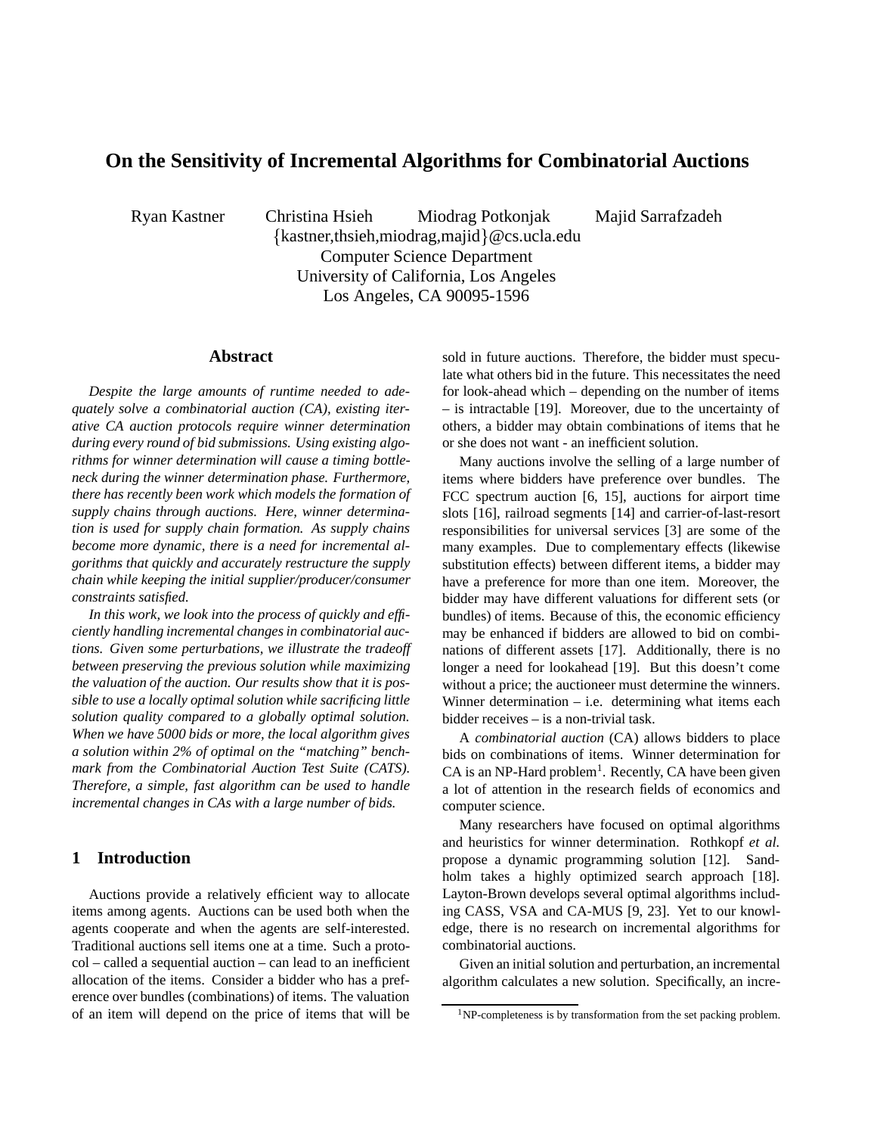# **On the Sensitivity of Incremental Algorithms for Combinatorial Auctions**

Ryan Kastner Christina Hsieh Miodrag Potkonjak Majid Sarrafzadeh

 $\{kastner, thisich, midrag, mail\}$ @cs.ucla.edu Computer Science Department University of California, Los Angeles Los Angeles, CA 90095-1596

#### **Abstract**

*Despite the large amounts of runtime needed to adequately solve a combinatorial auction (CA), existing iterative CA auction protocols require winner determination during every round of bid submissions. Using existing algorithms for winner determination will cause a timing bottleneck during the winner determination phase. Furthermore, there has recently been work which models the formation of supply chains through auctions. Here, winner determination is used for supply chain formation. As supply chains become more dynamic, there is a need for incremental algorithms that quickly and accurately restructure the supply chain while keeping the initial supplier/producer/consumer constraints satisfied.*

*In this work, we look into the process of quickly and efficiently handling incremental changes in combinatorial auctions. Given some perturbations, we illustrate the tradeoff between preserving the previous solution while maximizing the valuation of the auction. Our results show that it is possible to use a locally optimal solution while sacrificing little solution quality compared to a globally optimal solution. When we have 5000 bids or more, the local algorithm gives a solution within 2% of optimal on the "matching" benchmark from the Combinatorial Auction Test Suite (CATS). Therefore, a simple, fast algorithm can be used to handle incremental changes in CAs with a large number of bids.*

### **1 Introduction**

Auctions provide a relatively efficient way to allocate items among agents. Auctions can be used both when the agents cooperate and when the agents are self-interested. Traditional auctions sell items one at a time. Such a protocol – called a sequential auction – can lead to an inefficient allocation of the items. Consider a bidder who has a preference over bundles (combinations) of items. The valuation of an item will depend on the price of items that will be sold in future auctions. Therefore, the bidder must speculate what others bid in the future. This necessitates the need for look-ahead which – depending on the number of items – is intractable [19]. Moreover, due to the uncertainty of others, a bidder may obtain combinations of items that he or she does not want - an inefficient solution.

Many auctions involve the selling of a large number of items where bidders have preference over bundles. The FCC spectrum auction [6, 15], auctions for airport time slots [16], railroad segments [14] and carrier-of-last-resort responsibilities for universal services [3] are some of the many examples. Due to complementary effects (likewise substitution effects) between different items, a bidder may have a preference for more than one item. Moreover, the bidder may have different valuations for different sets (or bundles) of items. Because of this, the economic efficiency may be enhanced if bidders are allowed to bid on combinations of different assets [17]. Additionally, there is no longer a need for lookahead [19]. But this doesn't come without a price; the auctioneer must determine the winners. Winner determination  $-$  i.e. determining what items each bidder receives – is a non-trivial task.

A *combinatorial auction* (CA) allows bidders to place bids on combinations of items. Winner determination for CA is an NP-Hard problem<sup>1</sup>. Recently, CA have been given a lot of attention in the research fields of economics and computer science.

Many researchers have focused on optimal algorithms and heuristics for winner determination. Rothkopf *et al.* propose a dynamic programming solution [12]. Sandholm takes a highly optimized search approach [18]. Layton-Brown develops several optimal algorithms including CASS, VSA and CA-MUS [9, 23]. Yet to our knowledge, there is no research on incremental algorithms for combinatorial auctions.

Given an initial solution and perturbation, an incremental algorithm calculates a new solution. Specifically, an incre-

<sup>1</sup>NP-completeness is by transformation from the set packing problem.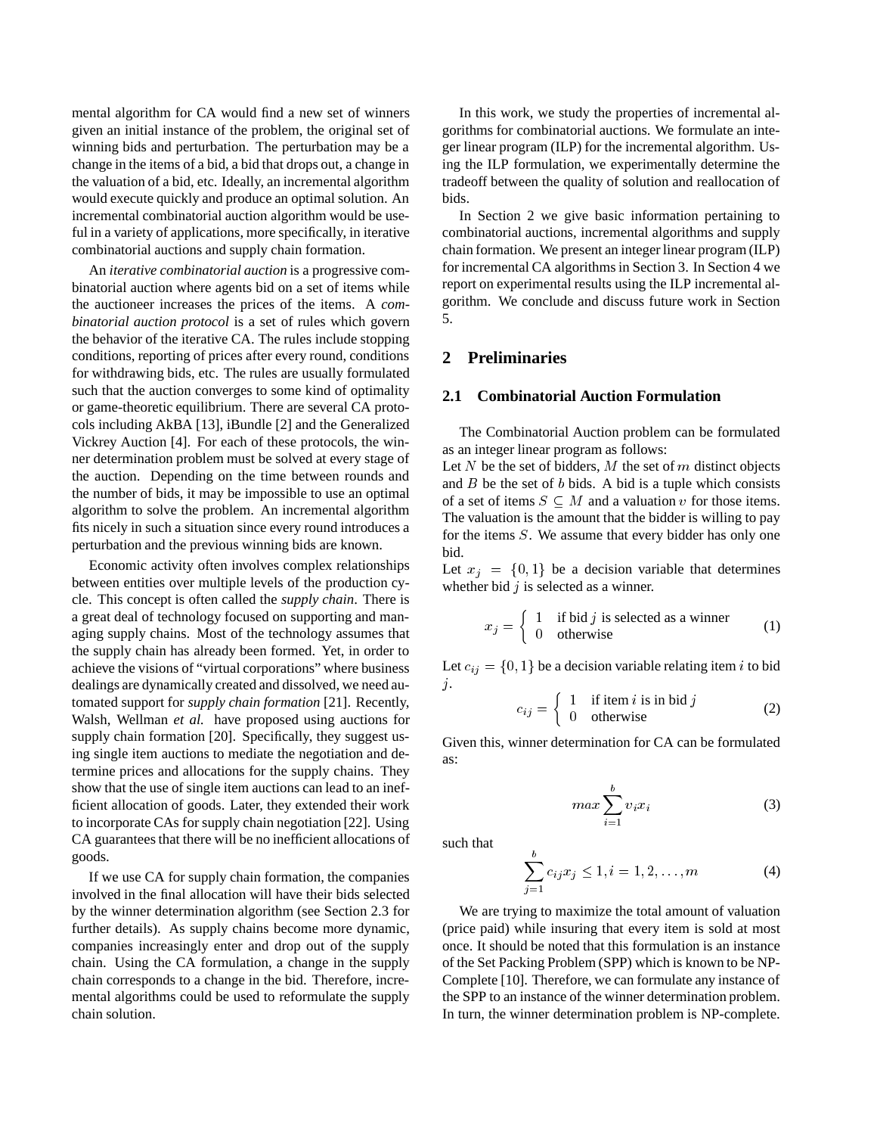mental algorithm for CA would find a new set of winners given an initial instance of the problem, the original set of winning bids and perturbation. The perturbation may be a change in the items of a bid, a bid that drops out, a change in the valuation of a bid, etc. Ideally, an incremental algorithm would execute quickly and produce an optimal solution. An incremental combinatorial auction algorithm would be useful in a variety of applications, more specifically, in iterative combinatorial auctions and supply chain formation.

An *iterative combinatorial auction* is a progressive combinatorial auction where agents bid on a set of items while the auctioneer increases the prices of the items. A *combinatorial auction protocol* is a set of rules which govern the behavior of the iterative CA. The rules include stopping conditions, reporting of prices after every round, conditions for withdrawing bids, etc. The rules are usually formulated such that the auction converges to some kind of optimality or game-theoretic equilibrium. There are several CA protocols including AkBA [13], iBundle [2] and the Generalized Vickrey Auction [4]. For each of these protocols, the winner determination problem must be solved at every stage of the auction. Depending on the time between rounds and the number of bids, it may be impossible to use an optimal algorithm to solve the problem. An incremental algorithm fits nicely in such a situation since every round introduces a perturbation and the previous winning bids are known.

Economic activity often involves complex relationships between entities over multiple levels of the production cycle. This concept is often called the *supply chain*. There is a great deal of technology focused on supporting and managing supply chains. Most of the technology assumes that the supply chain has already been formed. Yet, in order to achieve the visions of "virtual corporations" where business dealings are dynamically created and dissolved, we need automated support for *supply chain formation* [21]. Recently, Walsh, Wellman *et al.* have proposed using auctions for supply chain formation [20]. Specifically, they suggest using single item auctions to mediate the negotiation and determine prices and allocations for the supply chains. They show that the use of single item auctions can lead to an inefficient allocation of goods. Later, they extended their work to incorporate CAs for supply chain negotiation [22]. Using CA guarantees that there will be no inefficient allocations of goods.

If we use CA for supply chain formation, the companies involved in the final allocation will have their bids selected by the winner determination algorithm (see Section 2.3 for further details). As supply chains become more dynamic, companies increasingly enter and drop out of the supply chain. Using the CA formulation, a change in the supply chain corresponds to a change in the bid. Therefore, incremental algorithms could be used to reformulate the supply chain solution.

In this work, we study the properties of incremental algorithms for combinatorial auctions. We formulate an integer linear program (ILP) for the incremental algorithm. Using the ILP formulation, we experimentally determine the tradeoff between the quality of solution and reallocation of bids.

In Section 2 we give basic information pertaining to combinatorial auctions, incremental algorithms and supply chain formation. We present an integer linear program (ILP) for incremental CA algorithms in Section 3. In Section 4 we report on experimental results using the ILP incremental algorithm. We conclude and discuss future work in Section 5.

## **2 Preliminaries**

#### **2.1 Combinatorial Auction Formulation**

The Combinatorial Auction problem can be formulated as an integer linear program as follows:

Let  $N$  be the set of bidders,  $M$  the set of  $m$  distinct objects and  $B$  be the set of  $b$  bids. A bid is a tuple which consists of a set of items  $S \subseteq M$  and a valuation v for those items. The valuation is the amount that the bidder is willing to pay for the items S. We assume that every bidder has only one bid.

Let  $x_j = \{0, 1\}$  be a decision variable that determines whether bid  $j$  is selected as a winner.

$$
x_j = \begin{cases} 1 & \text{if bid } j \text{ is selected as a winner} \\ 0 & \text{otherwise} \end{cases}
$$
 (1)

Let  $c_{ij} = \{0, 1\}$  be a decision variable relating item *i* to bid j.

$$
c_{ij} = \begin{cases} 1 & \text{if item } i \text{ is in bid } j \\ 0 & \text{otherwise} \end{cases}
$$
 (2)

Given this, winner determination for CA can be formulated as:

$$
max \sum_{i=1}^{b} v_i x_i \tag{3}
$$

such that

$$
\sum_{j=1}^{b} c_{ij} x_j \le 1, i = 1, 2, \dots, m
$$
 (4)

We are trying to maximize the total amount of valuation (price paid) while insuring that every item is sold at most once. It should be noted that this formulation is an instance of the Set Packing Problem (SPP) which is known to be NP-Complete [10]. Therefore, we can formulate any instance of the SPP to an instance of the winner determination problem. In turn, the winner determination problem is NP-complete.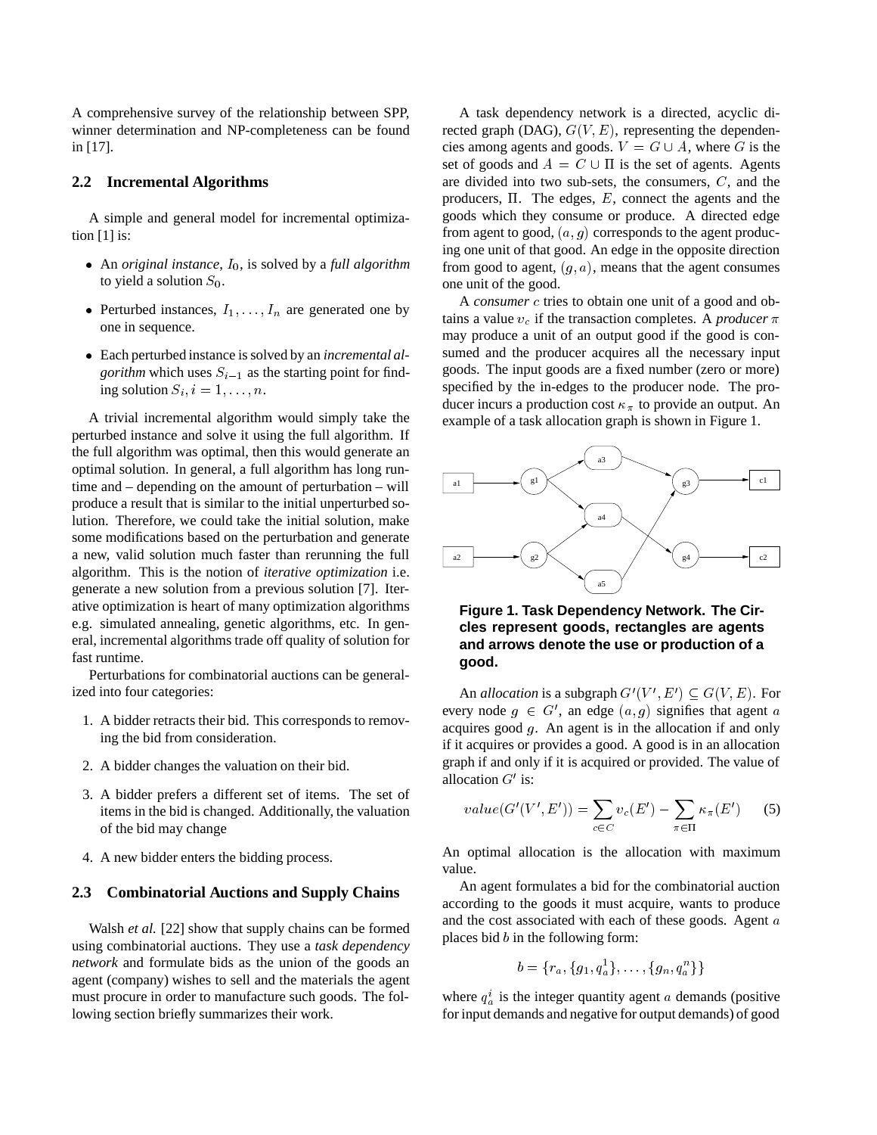A comprehensive survey of the relationship between SPP, winner determination and NP-completeness can be found in [17].

## **2.2 Incremental Algorithms**

A simple and general model for incremental optimization [1] is:

- An *original instance*,  $I_0$ , is solved by a *full algorithm* to yield a solution  $S_0$ .
- Perturbed instances,  $I_1, \ldots, I_n$  are generated one by one in sequence.
- Each perturbed instance is solved by an *incremental algorithm* which uses  $S_{i-1}$  as the starting point for finding solution  $S_i$ ,  $i = 1, \ldots, n$ .

A trivial incremental algorithm would simply take the perturbed instance and solve it using the full algorithm. If the full algorithm was optimal, then this would generate an optimal solution. In general, a full algorithm has long runtime and – depending on the amount of perturbation – will produce a result that is similar to the initial unperturbed solution. Therefore, we could take the initial solution, make some modifications based on the perturbation and generate a new, valid solution much faster than rerunning the full algorithm. This is the notion of *iterative optimization* i.e. generate a new solution from a previous solution [7]. Iterative optimization is heart of many optimization algorithms e.g. simulated annealing, genetic algorithms, etc. In general, incremental algorithms trade off quality of solution for fast runtime.

Perturbations for combinatorial auctions can be generalized into four categories:

- 1. A bidder retracts their bid. This corresponds to removing the bid from consideration.
- 2. A bidder changes the valuation on their bid.
- 3. A bidder prefers a different set of items. The set of items in the bid is changed. Additionally, the valuation of the bid may change
- 4. A new bidder enters the bidding process.

#### **2.3 Combinatorial Auctions and Supply Chains**

Walsh *et al.* [22] show that supply chains can be formed using combinatorial auctions. They use a *task dependency network* and formulate bids as the union of the goods an agent (company) wishes to sell and the materials the agent must procure in order to manufacture such goods. The following section briefly summarizes their work.

A task dependency network is a directed, acyclic directed graph (DAG),  $G(V, E)$ , representing the dependencies among agents and goods.  $V = G \cup A$ , where G is the set of goods and  $A = C \cup \Pi$  is the set of agents. Agents are divided into two sub-sets, the consumers, C, and the producers,  $\Pi$ . The edges,  $E$ , connect the agents and the goods which they consume or produce. A directed edge from agent to good,  $(a, q)$  corresponds to the agent producing one unit of that good. An edge in the opposite direction from good to agent,  $(g, a)$ , means that the agent consumes one unit of the good.

A *consumer* <sup>c</sup> tries to obtain one unit of a good and obtains a value  $v_c$  if the transaction completes. A *producer*  $\pi$ may produce a unit of an output good if the good is consumed and the producer acquires all the necessary input goods. The input goods are a fixed number (zero or more) specified by the in-edges to the producer node. The producer incurs a production cost  $\kappa_{\pi}$  to provide an output. An example of a task allocation graph is shown in Figure 1.



**Figure 1. Task Dependency Network. The Circles represent goods, rectangles are agents and arrows denote the use or production of a good.**

An *allocation* is a subgraph  $G'(V', E') \subseteq G(V, E)$ . For every node  $g \in G'$ , an edge  $(a, g)$  signifies that agent a acquires good  $g$ . An agent is in the allocation if and only if it acquires or provides a good. A good is in an allocation graph if and only if it is acquired or provided. The value of allocation  $G'$  is:

$$
value(G'(V', E')) = \sum_{c \in C} v_c(E') - \sum_{\pi \in \Pi} \kappa_{\pi}(E') \qquad (5)
$$

An optimal allocation is the allocation with maximum value.

An agent formulates a bid for the combinatorial auction according to the goods it must acquire, wants to produce and the cost associated with each of these goods. Agent a places bid  $b$  in the following form:

$$
b = \{r_a, \{g_1, q_a^1\}, \ldots, \{g_n, q_a^n\}\}
$$

where  $q_a^i$  is the integer quantity agent a demands (positive for input demands and negative for output demands) of good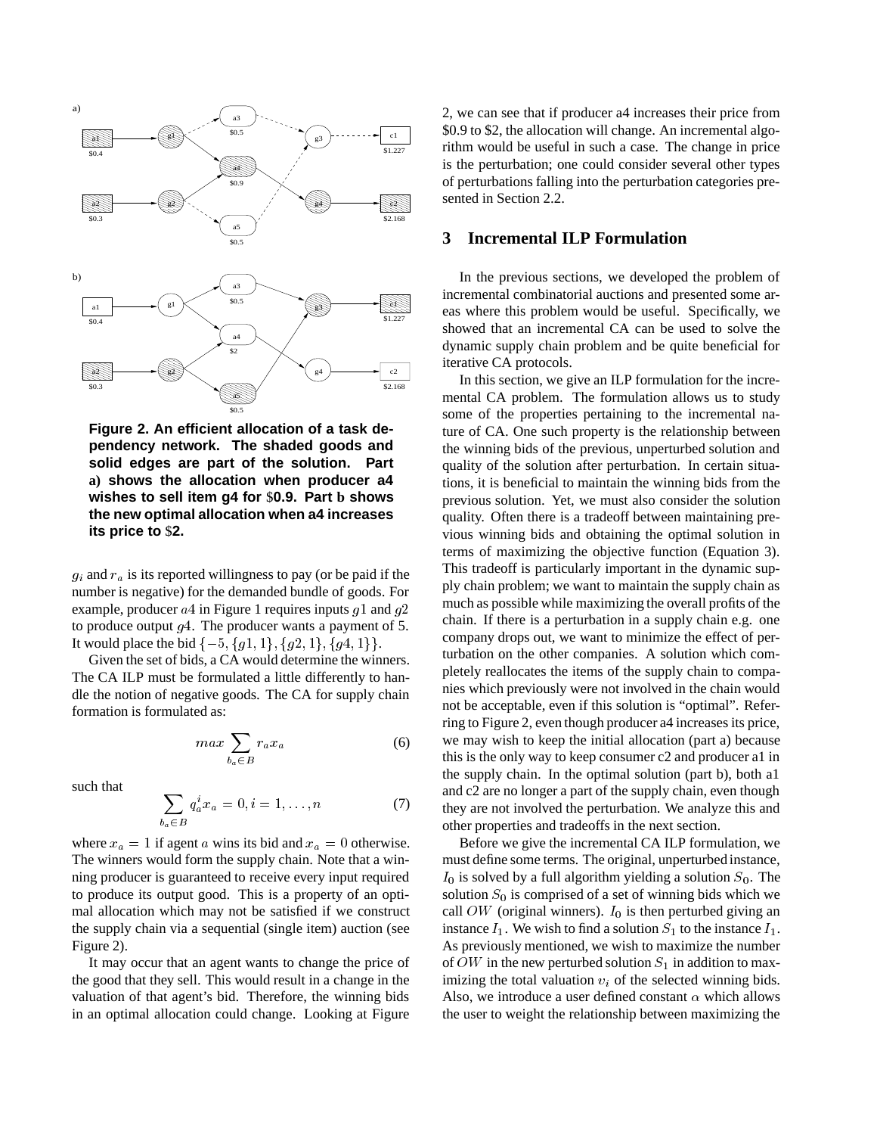

**Figure 2. An efficient allocation of a task dependency network. The shaded goods and solid edges are part of the solution. Part a) shows the allocation when producer a4 wishes to sell item g4 for** \$**0.9. Part b shows the new optimal allocation when a4 increases its price to** \$**2.**

 $g_i$  and  $r_a$  is its reported willingness to pay (or be paid if the number is negative) for the demanded bundle of goods. For example, producer a4 in Figure 1 requires inputs g1 and  $g_2$ to produce output  $q4$ . The producer wants a payment of 5. It would place the bid  $\{-5, \{g1, 1\}, \{g2, 1\}, \{g4, 1\}\}.$ 

Given the set of bids, a CA would determine the winners. The CA ILP must be formulated a little differently to handle the notion of negative goods. The CA for supply chain formation is formulated as:

$$
max \sum_{b_a \in B} r_a x_a \tag{6}
$$

such that

$$
\sum_{b_a \in B} q_a^i x_a = 0, i = 1, \dots, n \tag{7}
$$

where  $x_a = 1$  if agent a wins its bid and  $x_a = 0$  otherwise. The winners would form the supply chain. Note that a winning producer is guaranteed to receive every input required to produce its output good. This is a property of an optimal allocation which may not be satisfied if we construct the supply chain via a sequential (single item) auction (see Figure 2).

It may occur that an agent wants to change the price of the good that they sell. This would result in a change in the valuation of that agent's bid. Therefore, the winning bids in an optimal allocation could change. Looking at Figure

2, we can see that if producer a4 increases their price from \$0.9 to \$2, the allocation will change. An incremental algorithm would be useful in such a case. The change in price is the perturbation; one could consider several other types of perturbations falling into the perturbation categories presented in Section 2.2.

### **3 Incremental ILP Formulation**

In the previous sections, we developed the problem of incremental combinatorial auctions and presented some areas where this problem would be useful. Specifically, we showed that an incremental CA can be used to solve the dynamic supply chain problem and be quite beneficial for iterative CA protocols.

In this section, we give an ILP formulation for the incremental CA problem. The formulation allows us to study some of the properties pertaining to the incremental nature of CA. One such property is the relationship between the winning bids of the previous, unperturbed solution and quality of the solution after perturbation. In certain situations, it is beneficial to maintain the winning bids from the previous solution. Yet, we must also consider the solution quality. Often there is a tradeoff between maintaining previous winning bids and obtaining the optimal solution in terms of maximizing the objective function (Equation 3). This tradeoff is particularly important in the dynamic supply chain problem; we want to maintain the supply chain as much as possible while maximizing the overall profits of the chain. If there is a perturbation in a supply chain e.g. one company drops out, we want to minimize the effect of perturbation on the other companies. A solution which completely reallocates the items of the supply chain to companies which previously were not involved in the chain would not be acceptable, even if this solution is "optimal". Referring to Figure 2, even though producer a4 increases its price, we may wish to keep the initial allocation (part a) because this is the only way to keep consumer c2 and producer a1 in the supply chain. In the optimal solution (part b), both a1 and c2 are no longer a part of the supply chain, even though they are not involved the perturbation. We analyze this and other properties and tradeoffs in the next section.

Before we give the incremental CA ILP formulation, we must define some terms. The original, unperturbed instance,  $I_0$  is solved by a full algorithm yielding a solution  $S_0$ . The solution  $S_0$  is comprised of a set of winning bids which we call OW (original winners).  $I_0$  is then perturbed giving an instance  $I_1$ . We wish to find a solution  $S_1$  to the instance  $I_1$ . As previously mentioned, we wish to maximize the number of OW in the new perturbed solution  $S_1$  in addition to maximizing the total valuation  $v_i$  of the selected winning bids. Also, we introduce a user defined constant  $\alpha$  which allows the user to weight the relationship between maximizing the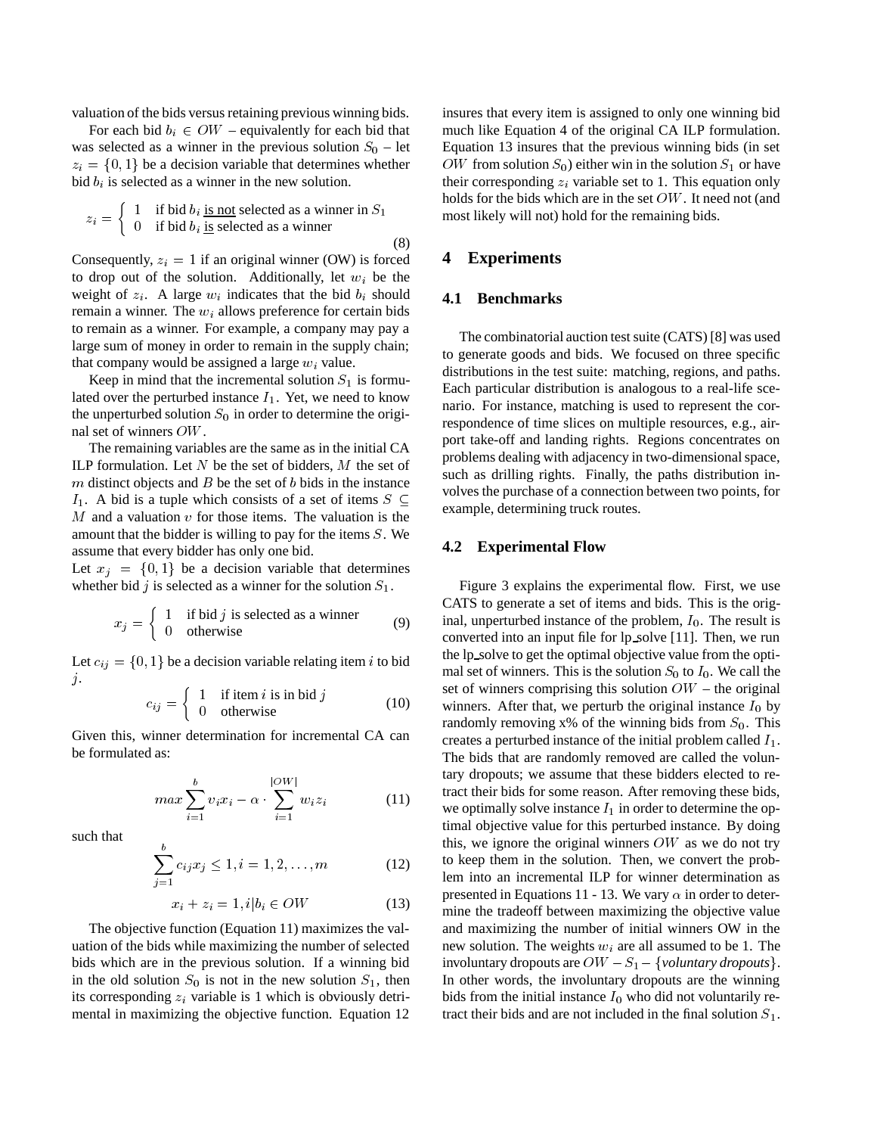valuation of the bids versus retaining previous winning bids.

For each bid  $b_i \in OW$  – equivalently for each bid that was selected as a winner in the previous solution  $S_0$  – let  $z_i = \{0, 1\}$  be a decision variable that determines whether bid  $b_i$  is selected as a winner in the new solution.

$$
z_i = \begin{cases} 1 & \text{if bid } b_i \text{ is not selected as a winner in } S_1 \\ 0 & \text{if bid } b_i \text{ is selected as a winner} \end{cases}
$$
(8)

Consequently,  $z_i = 1$  if an original winner (OW) is forced to drop out of the solution. Additionally, let  $w_i$  be the weight of  $z_i$ . A large  $w_i$  indicates that the bid  $b_i$  should remain a winner. The  $w_i$  allows preference for certain bids to remain as a winner. For example, a company may pay a large sum of money in order to remain in the supply chain; that company would be assigned a large  $w_i$  value.

Keep in mind that the incremental solution  $S_1$  is formulated over the perturbed instance  $I_1$ . Yet, we need to know the unperturbed solution  $S_0$  in order to determine the original set of winners OW.

The remaining variables are the same as in the initial CA ILP formulation. Let  $N$  be the set of bidders,  $M$  the set of m distinct objects and  $B$  be the set of  $b$  bids in the instance  $I_1$ . A bid is a tuple which consists of a set of items  $S \subseteq$  $M$  and a valuation  $v$  for those items. The valuation is the amount that the bidder is willing to pay for the items S. We assume that every bidder has only one bid.

Let  $x_j = \{0, 1\}$  be a decision variable that determines whether bid j is selected as a winner for the solution  $S_1$ .

$$
x_j = \begin{cases} 1 & \text{if bid } j \text{ is selected as a winner} \\ 0 & \text{otherwise} \end{cases}
$$
 (9)

Let  $c_{ij} = \{0, 1\}$  be a decision variable relating item *i* to bid  $j$ .

$$
c_{ij} = \begin{cases} 1 & \text{if item } i \text{ is in bid } j \\ 0 & \text{otherwise} \end{cases}
$$
 (10)

Given this, winner determination for incremental CA can be formulated as:

$$
max \sum_{i=1}^{b} v_i x_i - \alpha \cdot \sum_{i=1}^{|OW|} w_i z_i \qquad (11)
$$

such that

$$
\sum_{j=1}^{6} c_{ij} x_j \le 1, i = 1, 2, \dots, m \tag{12}
$$

$$
x_i + z_i = 1, i | b_i \in OW \tag{13}
$$

The objective function (Equation 11) maximizes the valuation of the bids while maximizing the number of selected bids which are in the previous solution. If a winning bid in the old solution  $S_0$  is not in the new solution  $S_1$ , then its corresponding  $z_i$  variable is 1 which is obviously detrimental in maximizing the objective function. Equation 12 insures that every item is assigned to only one winning bid much like Equation 4 of the original CA ILP formulation. Equation 13 insures that the previous winning bids (in set OW from solution  $S_0$ ) either win in the solution  $S_1$  or have their corresponding  $z_i$  variable set to 1. This equation only holds for the bids which are in the set  $OW$ . It need not (and most likely will not) hold for the remaining bids.

# **4 Experiments**

#### **4.1 Benchmarks**

The combinatorial auction test suite (CATS) [8] was used to generate goods and bids. We focused on three specific distributions in the test suite: matching, regions, and paths. Each particular distribution is analogous to a real-life scenario. For instance, matching is used to represent the correspondence of time slices on multiple resources, e.g., airport take-off and landing rights. Regions concentrates on problems dealing with adjacency in two-dimensional space, such as drilling rights. Finally, the paths distribution involves the purchase of a connection between two points, for example, determining truck routes.

#### **4.2 Experimental Flow**

Figure 3 explains the experimental flow. First, we use CATS to generate a set of items and bids. This is the original, unperturbed instance of the problem,  $I_0$ . The result is converted into an input file for lp solve [11]. Then, we run the lp solve to get the optimal objective value from the optimal set of winners. This is the solution  $S_0$  to  $I_0$ . We call the set of winners comprising this solution  $OW -$  the original winners. After that, we perturb the original instance  $I_0$  by randomly removing x% of the winning bids from  $S_0$ . This creates a perturbed instance of the initial problem called  $I_1$ . The bids that are randomly removed are called the voluntary dropouts; we assume that these bidders elected to retract their bids for some reason. After removing these bids, we optimally solve instance  $I_1$  in order to determine the optimal objective value for this perturbed instance. By doing this, we ignore the original winners  $OW$  as we do not try to keep them in the solution. Then, we convert the problem into an incremental ILP for winner determination as presented in Equations 11 - 13. We vary  $\alpha$  in order to determine the tradeoff between maximizing the objective value and maximizing the number of initial winners OW in the new solution. The weights  $w_i$  are all assumed to be 1. The involuntary dropouts are  $OW - S_1 - \{volumtary\,text{d}ropouts\}.$ In other words, the involuntary dropouts are the winning bids from the initial instance  $I_0$  who did not voluntarily retract their bids and are not included in the final solution  $S_1$ .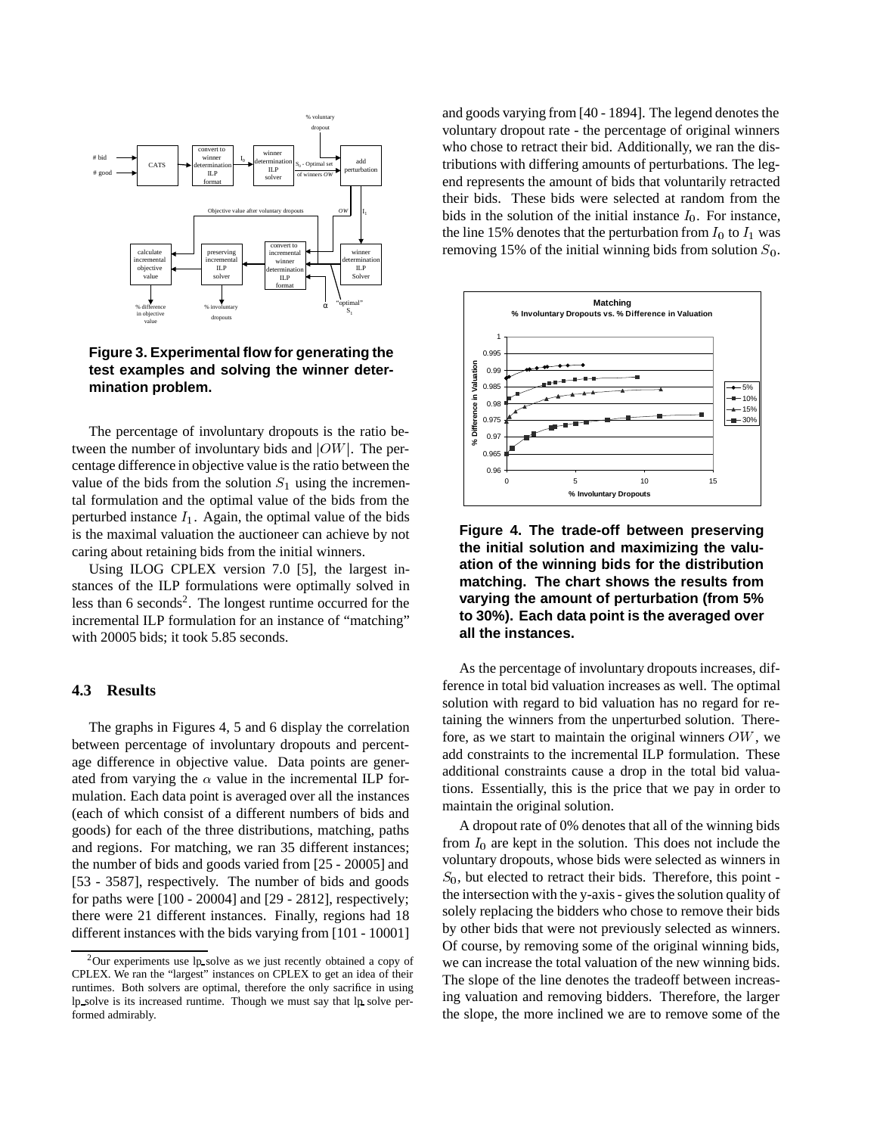

# **Figure 3. Experimental flow for generating the test examples and solving the winner determination problem.**

The percentage of involuntary dropouts is the ratio between the number of involuntary bids and  $|OW|$ . The percentage difference in objective value is the ratio between the value of the bids from the solution  $S_1$  using the incremental formulation and the optimal value of the bids from the perturbed instance  $I_1$ . Again, the optimal value of the bids is the maximal valuation the auctioneer can achieve by not caring about retaining bids from the initial winners.

Using ILOG CPLEX version 7.0 [5], the largest instances of the ILP formulations were optimally solved in less than 6 seconds<sup>2</sup>. The longest runtime occurred for the incremental ILP formulation for an instance of "matching" with 20005 bids; it took 5.85 seconds.

### **4.3 Results**

The graphs in Figures 4, 5 and 6 display the correlation between percentage of involuntary dropouts and percentage difference in objective value. Data points are generated from varying the  $\alpha$  value in the incremental ILP formulation. Each data point is averaged over all the instances (each of which consist of a different numbers of bids and goods) for each of the three distributions, matching, paths and regions. For matching, we ran 35 different instances; the number of bids and goods varied from [25 - 20005] and [53 - 3587], respectively. The number of bids and goods for paths were [100 - 20004] and [29 - 2812], respectively; there were 21 different instances. Finally, regions had 18 different instances with the bids varying from [101 - 10001]

and goods varying from [40 - 1894]. The legend denotes the voluntary dropout rate - the percentage of original winners who chose to retract their bid. Additionally, we ran the distributions with differing amounts of perturbations. The legend represents the amount of bids that voluntarily retracted their bids. These bids were selected at random from the bids in the solution of the initial instance  $I_0$ . For instance, the line 15% denotes that the perturbation from  $I_0$  to  $I_1$  was removing 15% of the initial winning bids from solution  $S_0$ .



**Figure 4. The trade-off between preserving the initial solution and maximizing the valuation of the winning bids for the distribution matching. The chart shows the results from varying the amount of perturbation (from 5% to 30%). Each data point is the averaged over all the instances.**

As the percentage of involuntary dropouts increases, difference in total bid valuation increases as well. The optimal solution with regard to bid valuation has no regard for retaining the winners from the unperturbed solution. Therefore, as we start to maintain the original winners  $OW$ , we add constraints to the incremental ILP formulation. These additional constraints cause a drop in the total bid valuations. Essentially, this is the price that we pay in order to maintain the original solution.

A dropout rate of 0% denotes that all of the winning bids from  $I_0$  are kept in the solution. This does not include the voluntary dropouts, whose bids were selected as winners in  $S_0$ , but elected to retract their bids. Therefore, this point the intersection with the y-axis - gives the solution quality of solely replacing the bidders who chose to remove their bids by other bids that were not previously selected as winners. Of course, by removing some of the original winning bids, we can increase the total valuation of the new winning bids. The slope of the line denotes the tradeoff between increasing valuation and removing bidders. Therefore, the larger the slope, the more inclined we are to remove some of the

<sup>&</sup>lt;sup>2</sup>Our experiments use lp solve as we just recently obtained a copy of CPLEX. We ran the "largest" instances on CPLEX to get an idea of their runtimes. Both solvers are optimal, therefore the only sacrifice in using lp solve is its increased runtime. Though we must say that lp solve performed admirably.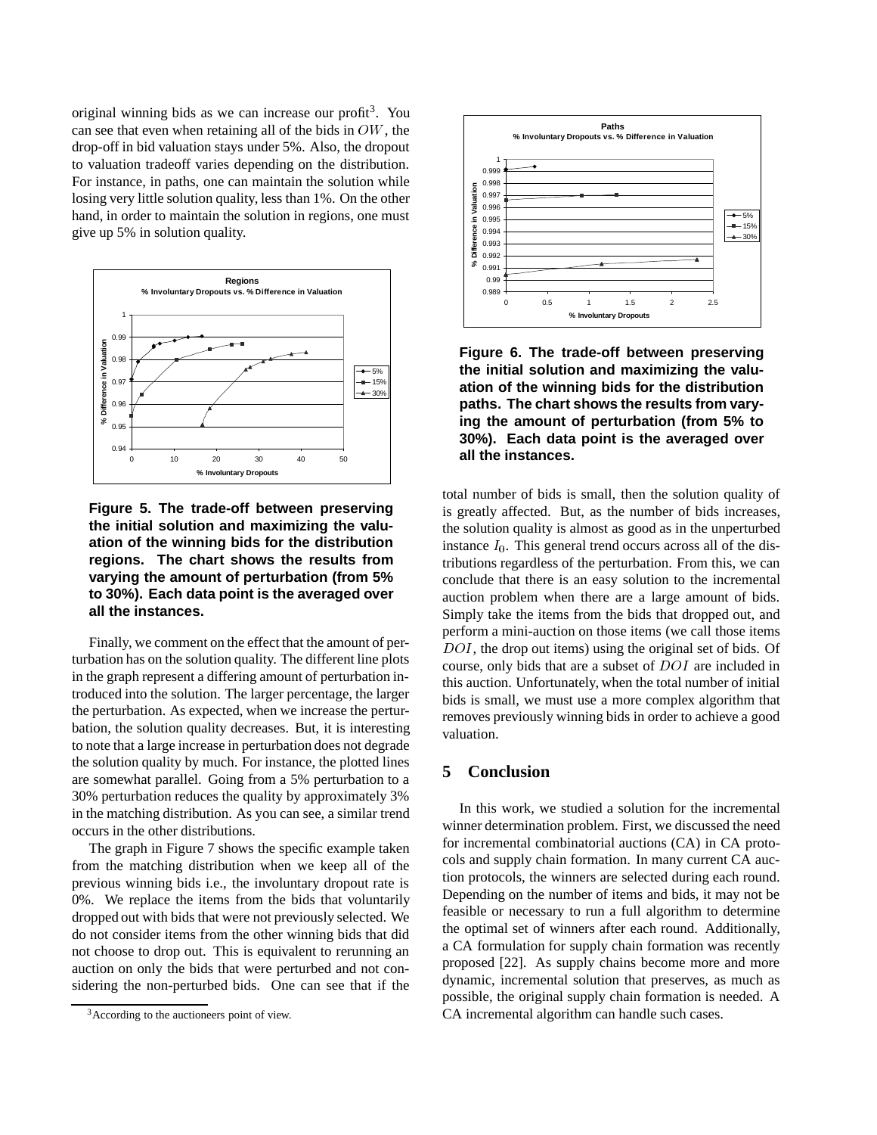original winning bids as we can increase our profit<sup>3</sup>. You can see that even when retaining all of the bids in  $OW$ , the drop-off in bid valuation stays under 5%. Also, the dropout to valuation tradeoff varies depending on the distribution. For instance, in paths, one can maintain the solution while losing very little solution quality, less than 1%. On the other hand, in order to maintain the solution in regions, one must give up 5% in solution quality.



**Figure 5. The trade-off between preserving the initial solution and maximizing the valuation of the winning bids for the distribution regions. The chart shows the results from varying the amount of perturbation (from 5% to 30%). Each data point is the averaged over all the instances.**

Finally, we comment on the effect that the amount of perturbation has on the solution quality. The different line plots in the graph represent a differing amount of perturbation introduced into the solution. The larger percentage, the larger the perturbation. As expected, when we increase the perturbation, the solution quality decreases. But, it is interesting to note that a large increase in perturbation does not degrade the solution quality by much. For instance, the plotted lines are somewhat parallel. Going from a 5% perturbation to a 30% perturbation reduces the quality by approximately 3% in the matching distribution. As you can see, a similar trend occurs in the other distributions.

The graph in Figure 7 shows the specific example taken from the matching distribution when we keep all of the previous winning bids i.e., the involuntary dropout rate is 0%. We replace the items from the bids that voluntarily dropped out with bids that were not previously selected. We do not consider items from the other winning bids that did not choose to drop out. This is equivalent to rerunning an auction on only the bids that were perturbed and not considering the non-perturbed bids. One can see that if the



**Figure 6. The trade-off between preserving the initial solution and maximizing the valuation of the winning bids for the distribution paths. The chart shows the results from varying the amount of perturbation (from 5% to 30%). Each data point is the averaged over all the instances.**

total number of bids is small, then the solution quality of is greatly affected. But, as the number of bids increases, the solution quality is almost as good as in the unperturbed instance  $I_0$ . This general trend occurs across all of the distributions regardless of the perturbation. From this, we can conclude that there is an easy solution to the incremental auction problem when there are a large amount of bids. Simply take the items from the bids that dropped out, and perform a mini-auction on those items (we call those items  $DOI$ , the drop out items) using the original set of bids. Of course, only bids that are a subset of DOI are included in this auction. Unfortunately, when the total number of initial bids is small, we must use a more complex algorithm that removes previously winning bids in order to achieve a good valuation.

# **5 Conclusion**

In this work, we studied a solution for the incremental winner determination problem. First, we discussed the need for incremental combinatorial auctions (CA) in CA protocols and supply chain formation. In many current CA auction protocols, the winners are selected during each round. Depending on the number of items and bids, it may not be feasible or necessary to run a full algorithm to determine the optimal set of winners after each round. Additionally, a CA formulation for supply chain formation was recently proposed [22]. As supply chains become more and more dynamic, incremental solution that preserves, as much as possible, the original supply chain formation is needed. A CA incremental algorithm can handle such cases.

<sup>3</sup>According to the auctioneers point of view.